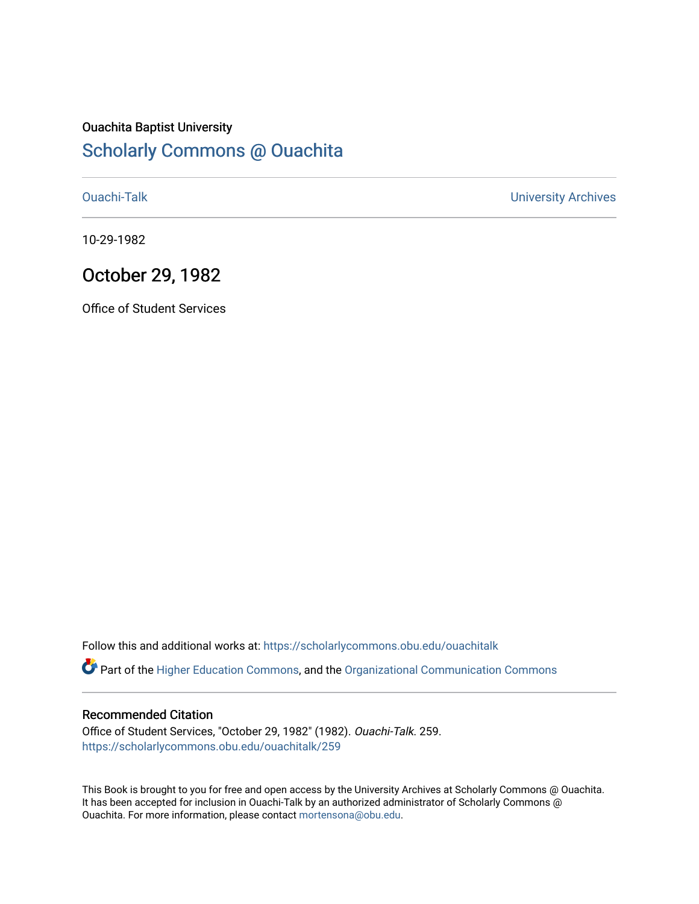## Ouachita Baptist University

## [Scholarly Commons @ Ouachita](https://scholarlycommons.obu.edu/)

[Ouachi-Talk](https://scholarlycommons.obu.edu/ouachitalk) [University Archives](https://scholarlycommons.obu.edu/universityarchives) 

10-29-1982

## October 29, 1982

Office of Student Services

Follow this and additional works at: [https://scholarlycommons.obu.edu/ouachitalk](https://scholarlycommons.obu.edu/ouachitalk?utm_source=scholarlycommons.obu.edu%2Fouachitalk%2F259&utm_medium=PDF&utm_campaign=PDFCoverPages) 

Part of the [Higher Education Commons,](http://network.bepress.com/hgg/discipline/1245?utm_source=scholarlycommons.obu.edu%2Fouachitalk%2F259&utm_medium=PDF&utm_campaign=PDFCoverPages) and the [Organizational Communication Commons](http://network.bepress.com/hgg/discipline/335?utm_source=scholarlycommons.obu.edu%2Fouachitalk%2F259&utm_medium=PDF&utm_campaign=PDFCoverPages)

### Recommended Citation

Office of Student Services, "October 29, 1982" (1982). Ouachi-Talk. 259. [https://scholarlycommons.obu.edu/ouachitalk/259](https://scholarlycommons.obu.edu/ouachitalk/259?utm_source=scholarlycommons.obu.edu%2Fouachitalk%2F259&utm_medium=PDF&utm_campaign=PDFCoverPages) 

This Book is brought to you for free and open access by the University Archives at Scholarly Commons @ Ouachita. It has been accepted for inclusion in Ouachi-Talk by an authorized administrator of Scholarly Commons @ Ouachita. For more information, please contact [mortensona@obu.edu](mailto:mortensona@obu.edu).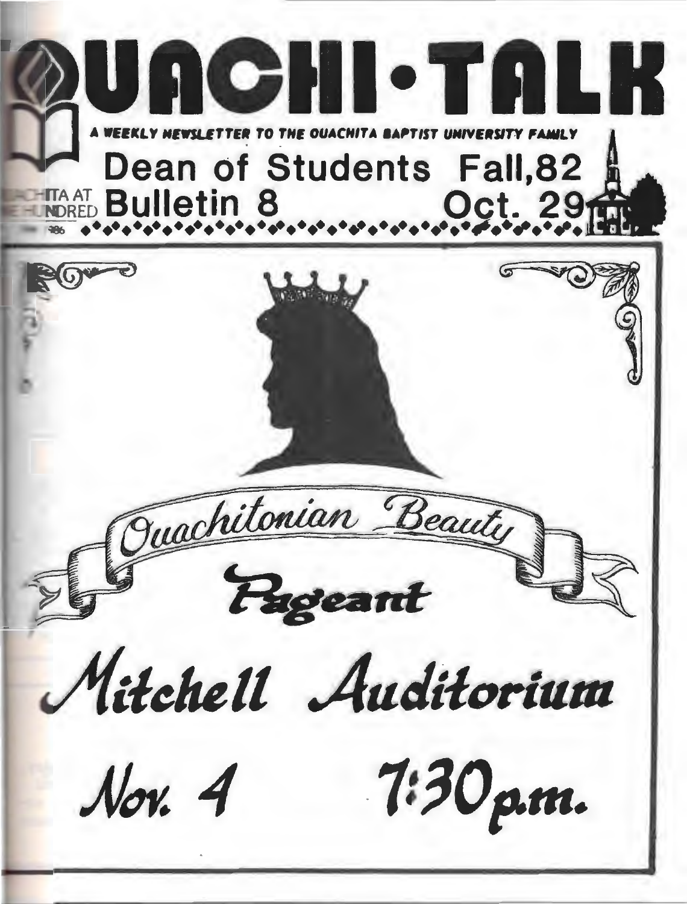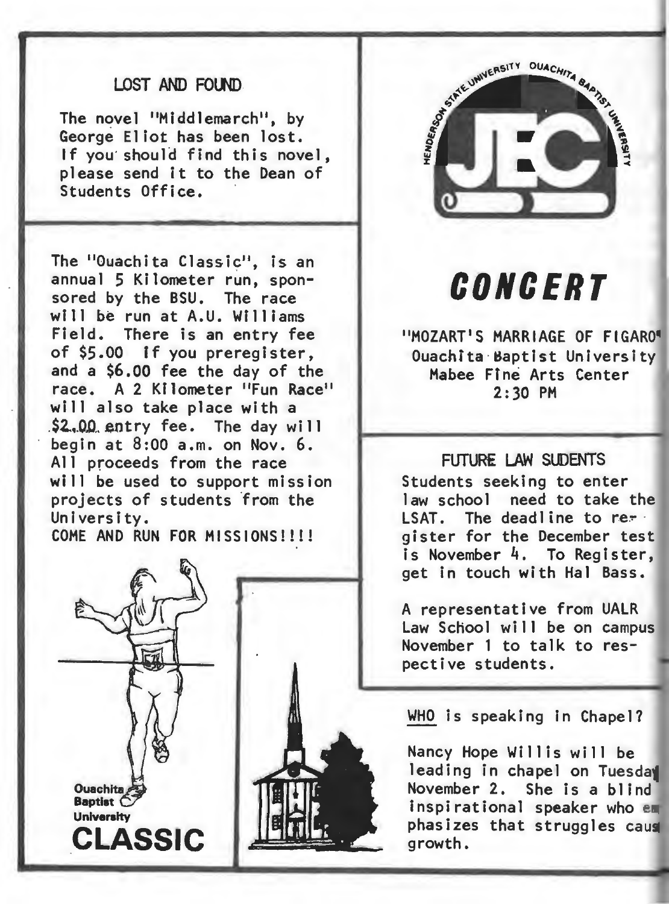### LOST AND FOUND.

The novel "Middlemarch", by George Eliot has been lost. If you should find this novel. please send it to the Dean of Students Office.

The "Ouachita Classic", is an annual 5 Kilometer run, sponsored by the BSU. The race will be run at A.U. Williams Field. There is an entry fee of \$5.00 tf you preregister, and a \$6.00 fee the day of the race. A 2 Kilometer "Fun Race" will also take place with a  $$2,00$  entry fee. The day will begin at 8:00 a.m. on Nov. 6. All proceeds from the race will be used to support mission projects of students from the University.

COME AND RUN FOR MISSIONS!!!!





## **CONCERT**

"MOZART'S MARRIAGE OF FIGARO" Ouachita Baptist University Mabee Ffne Arts Center 2:30 PH

#### FUTURE LAW SUDENTS

Students seeking to enter law school need to take the LSAT. The deadline to re- $\frac{1}{2}$  gister for the December test is November 4. To Register, get in touch with Hal Bass.

A representative from UALR Law School will be on campus November 1 to talk to respective students.

WHO is speaking in Chapel?

Nancy Hope Willis will be leading in chapel on Tuesday<br>November 2. She is a blind She is a blind inspirational speaker who e phasizes that struggles cau growth.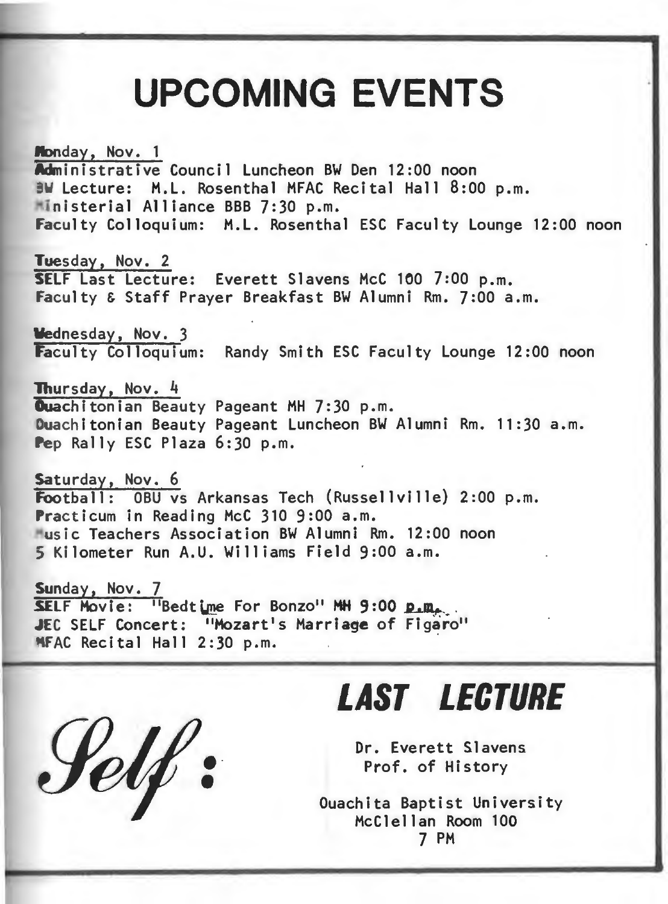# **UPCOMING EVENTS**

Monday, Nov. 1 Administrative Council Luncheon BW Den 12:00 noon BW Lecture: M.L. Rosenthal MFAC Recital Hall 8:00 p.m. ·in isterial Alliance BBB 7:30p.m. Faculty Colloquium: M.L. Rosenthal ESC Faculty Lounge 12:00 noon

Tuesday, Nov. 2 SELF Last Lecture: Everett Slavens McC 100 7:00 p.m. Faculty & Staff Prayer Breakfast BW Alumni Rm. 7:00 a.m.

Wednesday, Nov. 3 Faculty Colloquium: Randy Smith ESC Faculty Lounge 12:00 noon

Thursday, Nov. 4<br>Quachitonian Beauty Pageant MH 7:30 p.m. Duachitonian Beauty Pageant Luncheon BW Alumni Rm. 11:30 a.m. Pep Rally ESC Plaza 6:30 p.m.

Saturday, Nov. 6 Football: OBU vs Arkansas Tech (Russellville) 2:00 p.m. Practicum in Reading McC 310 9:00 a.m. ~us ic Teachers Association BW Alumni Rm. 12:00 noon 5 Kilometer Run A.U. Williams Field 9:00a.m.

Sunday, Nov. 7<br>SELF Movie: "Bedtime For Bonzo" MH 9:00 p.m. JEC SELF Concert: "Mozart's Marriage of Figaro" MFAC Recital Hall 2:30 p.m.

•• •

## *LAST LECTURE*

Dr. Everett Slavens Prof. of History

Ouachita Baptist University McClellan Room 100 7 PM